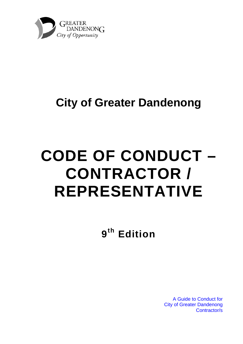

## **City of Greater Dandenong**

# **CODE OF CONDUCT – CONTRACTOR / REPRESENTATIVE**

**9th Edition** 

A Guide to Conduct for City of Greater Dandenong Contractor/s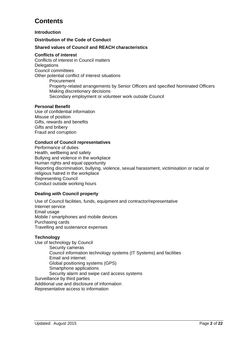## **Contents**

**Introduction** 

**Distribution of the Code of Conduct** 

#### **Shared values of Council and REACH characteristics**

#### **Conflicts of interest**

Conflicts of interest in Council matters **Delegations** Council committees Other potential conflict of interest situations Procurement Property-related arrangements by Senior Officers and specified Nominated Officers Making discretionary decisions Secondary employment or volunteer work outside Council

#### **Personal Benefit**

Use of confidential information Misuse of position Gifts, rewards and benefits Gifts and bribery Fraud and corruption

#### **Conduct of Council representatives**

Performance of duties Health, wellbeing and safety Bullying and violence in the workplace Human rights and equal opportunity Reporting discrimination, bullying, violence, sexual harassment, victimisation or racial or religious hatred in the workplace Representing Council Conduct outside working hours

#### **Dealing with Council property**

Use of Council facilities, funds, equipment and contractor/representative Internet service Email usage Mobile / smartphones and mobile devices Purchasing cards Travelling and sustenance expenses

#### **Technology**

Use of technology by Council Security cameras Council information technology systems (IT Systems) and facilities Email and internet Global positioning systems (GPS) Smartphone applications Security alarm and swipe card access systems Surveillance by third parties Additional use and disclosure of information Representative access to information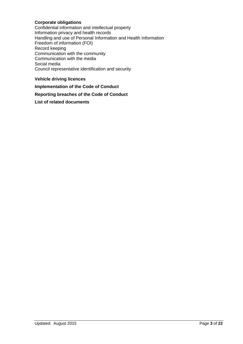#### **Corporate obligations**

Confidential information and intellectual property Information privacy and health records Handling and use of Personal Information and Health Information Freedom of information (FOI) Record keeping Communication with the community Communication with the media Social media Council representative identification and security

#### **Vehicle driving licences**

**Implementation of the Code of Conduct** 

#### **Reporting breaches of the Code of Conduct**

#### **List of related documents**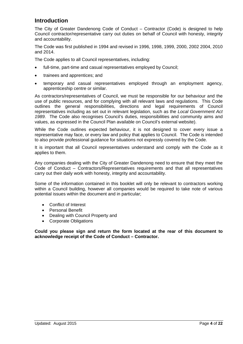## **Introduction**

The City of Greater Dandenong Code of Conduct – Contractor (Code) is designed to help Council contractor/representative carry out duties on behalf of Council with honesty, integrity and accountability.

The Code was first published in 1994 and revised in 1996, 1998, 1999, 2000, 2002 2004, 2010 and 2014.

The Code applies to all Council representatives, including:

- full-time, part-time and casual representatives employed by Council;
- trainees and apprentices; and
- temporary and casual representatives employed through an employment agency, apprenticeship centre or similar.

As contractors/representatives of Council, we must be responsible for our behaviour and the use of public resources, and for complying with all relevant laws and regulations. This Code outlines the general responsibilities, directions and legal requirements of Council representatives including as set out in relevant legislation, such as the *Local Government Act 1989*. The Code also recognises Council's duties, responsibilities and community aims and values, as expressed in the Council Plan available on Council's external website).

While the Code outlines expected behaviour, it is not designed to cover every issue a representative may face, or every law and policy that applies to Council. The Code is intended to also provide professional guidance for situations not expressly covered by the Code.

It is important that all Council representatives understand and comply with the Code as it applies to them.

Any companies dealing with the City of Greater Dandenong need to ensure that they meet the Code of Conduct – Contractors/Representatives requirements and that all representatives carry out their daily work with honesty, integrity and accountability.

Some of the information contained in this booklet will only be relevant to contractors working within a Council building, however all companies would be required to take note of various potential issues within the document and in particular;

- Conflict of Interest
- Personal Benefit
- Dealing with Council Property and
- Corporate Obligations

**Could you please sign and return the form located at the rear of this document to acknowledge receipt of the Code of Conduct – Contractor.**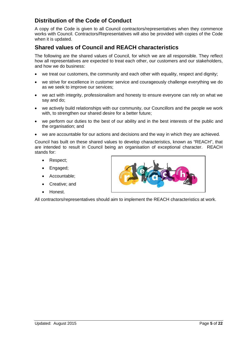## **Distribution of the Code of Conduct**

A copy of the Code is given to all Council contractors/representatives when they commence works with Council. Contractors/Representatives will also be provided with copies of the Code when it is updated.

## **Shared values of Council and REACH characteristics**

The following are the shared values of Council, for which we are all responsible. They reflect how all representatives are expected to treat each other, our customers and our stakeholders, and how we do business:

- we treat our customers, the community and each other with equality, respect and dignity;
- we strive for excellence in customer service and courageously challenge everything we do as we seek to improve our services;
- we act with integrity, professionalism and honesty to ensure everyone can rely on what we say and do;
- we actively build relationships with our community, our Councillors and the people we work with, to strengthen our shared desire for a better future;
- we perform our duties to the best of our ability and in the best interests of the public and the organisation; and
- we are accountable for our actions and decisions and the way in which they are achieved.

Council has built on these shared values to develop characteristics, known as "REACH", that are intended to result in Council being an organisation of exceptional character. REACH stands for:

- Respect:
- Engaged;
- Accountable;
- Creative; and
- Honest.

All contractors/representatives should aim to implement the REACH characteristics at work.

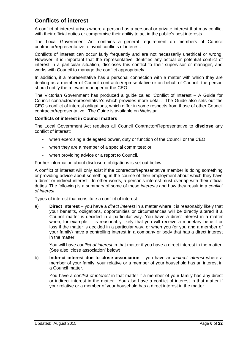## **Conflicts of interest**

A conflict of interest arises where a person has a personal or private interest that may conflict with their official duties or compromise their ability to act in the public's best interests.

The Local Government Act contains a general requirement on members of Council contractor/representative to avoid conflicts of interest.

Conflicts of interest can occur fairly frequently and are not necessarily unethical or wrong. However, it is important that the representative identifies any actual or potential conflict of interest in a particular situation, discloses this conflict to their supervisor or manager, and works with Council to manage the conflict appropriately.

In addition, if a representative has a personal connection with a matter with which they are dealing as a member of Council contractor/representative or on behalf of Council, the person should notify the relevant manager or the CEO.

The Victorian Government has produced a guide called 'Conflict of Interest – A Guide for Council contractor/representative's which provides more detail. The Guide also sets out the CEO's conflict of interest obligations, which differ in some respects from those of other Council contractor/representative. The Guide is available on Webstar.

#### **Conflicts of interest in Council matters**

The Local Government Act requires all Council Contractor/Representative to **disclose** any conflict of interest:

- when exercising a delegated power, duty or function of the Council or the CEO;
- when they are a member of a special committee; or
- when providing advice or a report to Council.

Further information about disclosure obligations is set out below.

A conflict of interest will only exist if the contractor/representative member is doing something or providing advice about something in the course of their employment about which they have a direct or indirect interest. In other words, a person's interest must overlap with their official duties. The following is a summary of some of these *interests* and how they result in a *conflict of interest*.

#### Types of interest that constitute a conflict of interest

a) **Direct interest** – you have a *direct interest* in a matter where it is reasonably likely that your benefits, obligations, opportunities or circumstances will be directly altered if a Council matter is decided in a particular way. You have a direct interest in a matter when, for example, it is reasonably likely that you will receive a monetary benefit or loss if the matter is decided in a particular way, or when you (or you and a member of your family) have a controlling interest in a company or body that has a direct interest in the matter.

You will have *conflict of interest* in that matter if you have a direct interest in the matter. (See also 'close association' below)

b) **Indirect interest due to close association** – you have an *indirect interest* where a member of your family, your relative or a member of your household has an interest in a Council matter.

You have a *conflict of interest* in that matter if a member of your family has any direct or indirect interest in the matter. You also have a conflict of interest in that matter if your relative or a member of your household has a direct interest in the matter.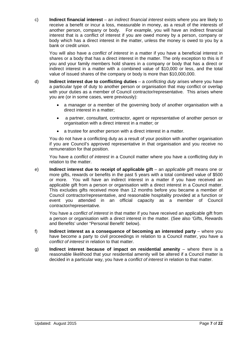c) **Indirect financial interest** – an *indirect financial interest* exists where you are likely to receive a benefit or incur a loss, measurable in money, as a result of the interests of another person, company or body. For example, you will have an indirect financial interest that is a conflict of interest if you are owed money by a person, company or body which has a direct interest in the matter, unless the money is owed to you by a bank or credit union.

You will also have a *conflict of interest* in a matter if you have a beneficial interest in shares or a body that has a direct interest in the matter. The only exception to this is if you and your family members hold shares in a company or body that has a direct or indirect interest in a matter with a combined value of \$10,000 or less, and the total value of issued shares of the company or body is more than \$10,000,000.

- d) **Indirect interest due to conflicting duties** a *conflicting duty* arises where you have a particular type of duty to another person or organisation that may conflict or overlap with your duties as a member of Council contractor/representative. This arises where you are (or in some cases, were previously):
	- a manager or a member of the governing body of another organisation with a direct interest in a matter;
	- a partner, consultant, contractor, agent or representative of another person or organisation with a direct interest in a matter; or
	- a trustee for another person with a direct interest in a matter.

 You do not have a conflicting duty as a result of your position with another organisation if you are Council's approved representative in that organisation and you receive no remuneration for that position.

 You have a *conflict of interest* in a Council matter where you have a conflicting duty in relation to the matter.

e) **Indirect interest due to receipt of applicable gift** – an *applicable gift* means one or more gifts, rewards or benefits in the past 5 years with a total combined value of \$500 or more. You will have an indirect interest in a matter if you have received an applicable gift from a person or organisation with a direct interest in a Council matter. This excludes gifts received more than 12 months before you became a member of Council contractor/representative, and reasonable hospitality provided at a function or event you attended in an official capacity as a member of Council contractor/representative.

You have a *conflict of interest* in that matter if you have received an applicable gift from a person or organisation with a direct interest in the matter. (See also 'Gifts, Rewards and Benefits' under "Personal Benefit' below).

- f) **Indirect interest as a consequence of becoming an interested party** where you have become a party to civil proceedings in relation to a Council matter, you have a *conflict of interest* in relation to that matter.
- g) **Indirect interest because of impact on residential amenity** where there is a reasonable likelihood that your residential amenity will be altered if a Council matter is decided in a particular way, you have a *conflict of interest* in relation to that matter.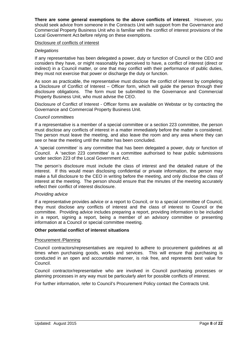**There are some general exemptions to the above conflicts of interest**. However, you should seek advice from someone in the Contracts Unit with support from the Governance and Commercial Property Business Unit who is familiar with the conflict of interest provisions of the Local Government Act before relying on these exemptions.

#### Disclosure of conflicts of interest

#### *Delegations*

If any representative has been delegated a power, duty or function of Council or the CEO and considers they have, or might reasonably be perceived to have, a conflict of interest (direct or indirect) in a Council matter, or one that may conflict with their performance of public duties, they must not exercise that power or discharge the duty or function.

As soon as practicable, the representative must disclose the conflict of interest by completing a Disclosure of Conflict of Interest – Officer form, which will guide the person through their disclosure obligations. The form must be submitted to the Governance and Commercial Property Business Unit, who must advise the CEO.

Disclosure of Conflict of Interest - Officer forms are available on Webstar or by contacting the Governance and Commercial Property Business Unit.

#### *Council committees*

If a representative is a member of a special committee or a section 223 committee, the person must disclose any conflicts of interest in a matter immediately before the matter is considered. The person must leave the meeting, and also leave the room and any area where they can see or hear the meeting until the matter has been concluded.

A 'special committee' is any committee that has been delegated a power, duty or function of Council. A 'section 223 committee' is a committee authorised to hear public submissions under section 223 of the Local Government Act.

The person's disclosure must include the class of interest and the detailed nature of the interest. If this would mean disclosing confidential or private information, the person may make a full disclosure to the CEO in writing before the meeting, and only disclose the class of interest at the meeting. The person should ensure that the minutes of the meeting accurately reflect their conflict of interest disclosure.

#### *Providing advice*

If a representative provides advice or a report to Council, or to a special committee of Council, they must disclose any conflicts of interest and the class of interest to Council or the committee. Providing advice includes preparing a report, providing information to be included in a report, signing a report, being a member of an advisory committee or presenting information at a Council or special committee meeting.

#### **Other potential conflict of interest situations**

#### Procurement /Planning

Council contractors/representatives are required to adhere to procurement guidelines at all times when purchasing goods, works and services. This will ensure that purchasing is conducted in an open and accountable manner, is risk free, and represents best value for Council.

Council contractor/representative who are involved in Council purchasing processes or planning processes in any way must be particularly alert for possible conflicts of interest.

For further information, refer to Council's Procurement Policy contact the Contracts Unit.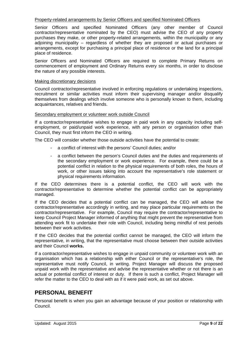#### Property-related arrangements by Senior Officers and specified Nominated Officers

Senior Officers and specified Nominated Officers (any other member of Council contractor/representative nominated by the CEO) must advise the CEO of any property purchases they make, or other property-related arrangements, within the municipality or any adjoining municipality – regardless of whether they are proposed or actual purchases or arrangements, except for purchasing a principal place of residence or the land for a principal place of residence.

Senior Officers and Nominated Officers are required to complete Primary Returns on commencement of employment and Ordinary Returns every six months, in order to disclose the nature of any possible interests.

#### Making discretionary decisions

Council contractor/representative involved in enforcing regulations or undertaking inspections, recruitment or similar activities must inform their supervising manager and/or disqualify themselves from dealings which involve someone who is personally known to them, including acquaintances, relatives and friends.

#### Secondary employment or volunteer work outside Council

If a contractor/representative wishes to engage in paid work in any capacity including selfemployment, or paid/unpaid work experience, with any person or organisation other than Council, they must first inform the CEO in writing.

The CEO will consider whether those outside activities have the potential to create:

- a conflict of interest with the persons' Council duties; and/or
- a conflict between the person's Council duties and the duties and requirements of the secondary employment or work experience. For example, there could be a potential conflict in relation to the physical requirements of both roles, the hours of work, or other issues taking into account the representative's role statement or physical requirements information.

If the CEO determines there is a potential conflict, the CEO will work with the contractor/representative to determine whether the potential conflict can be appropriately managed.

If the CEO decides that a potential conflict can be managed, the CEO will advise the contractor/representative accordingly in writing, and may place particular requirements on the contractor/representative. For example, Council may require the contractor/representative to keep Council Project Manager informed of anything that might prevent the representative from attending work fit to undertake their role with Council, including being mindful of rest periods between their work activities.

If the CEO decides that the potential conflict cannot be managed, the CEO will inform the representative, in writing, that the representative must choose between their outside activities and their Council **works.**

If a contractor/representative wishes to engage in unpaid community or volunteer work with an organisation which has a relationship with either Council or the representative's role, the representative must notify Council, in writing. Project Manager will discuss the proposed unpaid work with the representative and advise the representative whether or not there is an actual or potential conflict of interest or duty. If there is such a conflict, Project Manager will refer the matter to the CEO to deal with as if it were paid work, as set out above.

## **PERSONAL BENEFIT**

Personal benefit is when you gain an advantage because of your position or relationship with Council.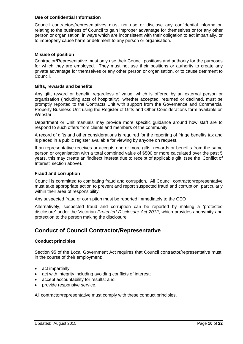#### **Use of confidential Information**

Council contractors/representatives must not use or disclose any confidential information relating to the business of Council to gain improper advantage for themselves or for any other person or organisation, in ways which are inconsistent with their obligation to act impartially, or to improperly cause harm or detriment to any person or organisation.

#### **Misuse of position**

Contractor/Representative must only use their Council positions and authority for the purposes for which they are employed. They must not use their positions or authority to create any private advantage for themselves or any other person or organisation, or to cause detriment to Council.

#### **Gifts, rewards and benefits**

Any gift, reward or benefit, regardless of value, which is offered by an external person or organisation (including acts of hospitality), whether accepted, returned or declined, must be promptly reported to the Contracts Unit with support from the Governance and Commercial Property Business Unit using the Register of Gifts and Other Considerations form available on Webstar.

Department or Unit manuals may provide more specific guidance around how staff are to respond to such offers from clients and members of the community.

A record of gifts and other considerations is required for the reporting of fringe benefits tax and is placed in a public register available for viewing by anyone on request.

If an representative receives or accepts one or more gifts, rewards or benefits from the same person or organisation with a total combined value of \$500 or more calculated over the past 5 years, this may create an 'indirect interest due to receipt of applicable gift' (see the 'Conflict of Interest' section above).

#### **Fraud and corruption**

 Council is committed to combating fraud and corruption. All Council contractor/representative must take appropriate action to prevent and report suspected fraud and corruption, particularly within their area of responsibility.

Any suspected fraud or corruption must be reported immediately to the CEO

 Alternatively, suspected fraud and corruption can be reported by making a 'protected disclosure' under the Victorian *Protected Disclosure Act 2012*, which provides anonymity and protection to the person making the disclosure.

## **Conduct of Council Contractor/Representative**

#### **Conduct principles**

Section 95 of the Local Government Act requires that Council contractor/representative must, in the course of their employment:

- act impartially;
- act with integrity including avoiding conflicts of interest;
- accept accountability for results; and
- provide responsive service.

All contractor/representative must comply with these conduct principles.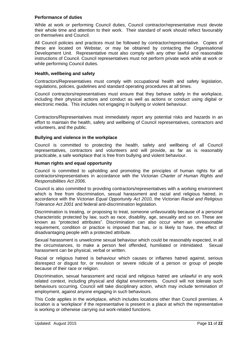#### **Performance of duties**

While at work or performing Council duties, Council contractor/representative must devote their whole time and attention to their work. Their standard of work should reflect favourably on themselves and Council.

All Council policies and practices must be followed by contractor/representative. Copies of these are located on Webstar, or may be obtained by contacting the Organisational Development Unit. Representative must also comply with any other lawful and reasonable instructions of Council. Council representatives must not perform private work while at work or while performing Council duties.

#### **Health, wellbeing and safety**

Contractors/Representatives must comply with occupational health and safety legislation, regulations, policies, guidelines and standard operating procedures at all times.

Council contractors/representatives must ensure that they behave safely in the workplace, including their physical actions and conduct as well as actions or conduct using digital or electronic media. This includes not engaging in bullying or violent behaviour.

Contractors/Representatives must immediately report any potential risks and hazards in an effort to maintain the health, safety and wellbeing of Council representatives, contractors and volunteers, and the public.

#### **Bullying and violence in the workplace**

Council is committed to protecting the health, safety and wellbeing of all Council representatives, contractors and volunteers and will provide, as far as is reasonably practicable, a safe workplace that is free from bullying and violent behaviour.

#### **Human rights and equal opportunity**

Council is committed to upholding and promoting the principles of human rights for all contractors/representatives in accordance with the Victorian *Charter of Human Rights and Responsibilities Act 2006*.

Council is also committed to providing contractors/representatives with a working environment which is free from discrimination, sexual harassment and racial and religious hatred, in accordance with the Victorian *Equal Opportunity Act 2010,* the Victorian *Racial and Religious Tolerance Act 2001* and federal anti-discrimination legislation.

Discrimination is treating, or proposing to treat, someone unfavourably because of a personal characteristic protected by law, such as race, disability, age, sexuality and so on. These are known as "protected attributes". Discrimination can also occur when an unreasonable requirement, condition or practice is imposed that has, or is likely to have, the effect of disadvantaging people with a protected attribute.

Sexual harassment is unwelcome sexual behaviour which could be reasonably expected, in all the circumstances, to make a person feel offended, humiliated or intimidated. Sexual harassment can be physical, verbal or written.

Racial or religious hatred is behaviour which causes or inflames hatred against, serious disrespect or disgust for, or revulsion or severe ridicule of a person or group of people because of their race or religion.

Discrimination, sexual harassment and racial and religious hatred are unlawful in any work related context, including physical and digital environments. Council will not tolerate such behaviours occurring. Council will take disciplinary action, which may include termination of employment, against anyone engaging in such behaviours.

This Code applies in the workplace, which includes locations other than Council premises. A location is a 'workplace' if the representative is present in a place at which the representative is working or otherwise carrying out work-related functions.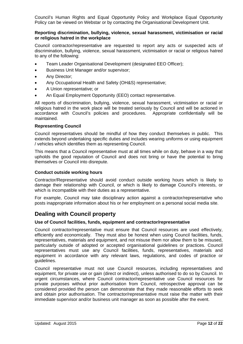Council's Human Rights and Equal Opportunity Policy and Workplace Equal Opportunity Policy can be viewed on Webstar or by contacting the Organisational Development Unit.

#### **Reporting discrimination, bullying, violence, sexual harassment, victimisation or racial or religious hatred in the workplace**

Council contractor/representative are requested to report any acts or suspected acts of discrimination, bullying, violence, sexual harassment, victimisation or racial or religious hatred to any of the following:

- Team Leader Organisational Development (designated EEO Officer);
- **Business Unit Manager and/or supervisor;**
- Any Director;
- Any Occupational Health and Safety (OH&S) representative;
- A Union representative; or
- An Equal Employment Opportunity (EEO) contact representative.

All reports of discrimination, bullying, violence, sexual harassment, victimisation or racial or religious hatred in the work place will be treated seriously by Council and will be actioned in accordance with Council's policies and procedures. Appropriate confidentially will be maintained.

#### **Representing Council**

Council representatives should be mindful of how they conduct themselves in public. This extends beyond undertaking specific duties and includes wearing uniforms or using equipment / vehicles which identifies them as representing Council.

This means that a Council representative must at all times while on duty, behave in a way that upholds the good reputation of Council and does not bring or have the potential to bring themselves or Council into disrepute.

#### **Conduct outside working hours**

Contractor/Representative should avoid conduct outside working hours which is likely to damage their relationship with Council, or which is likely to damage Council's interests, or which is incompatible with their duties as a representative.

For example, Council may take disciplinary action against a contractor/representative who posts inappropriate information about his or her employment on a personal social media site.

## **Dealing with Council property**

#### **Use of Council facilities, funds, equipment and contractor/representative**

Council contractor/representative must ensure that Council resources are used effectively, efficiently and economically. They must also be honest when using Council facilities, funds, representatives, materials and equipment, and not misuse them nor allow them to be misused, particularly outside of adopted or accepted organisational guidelines or practices. Council representatives must use any Council facilities, funds, representatives, materials and equipment in accordance with any relevant laws, regulations, and codes of practice or guidelines.

Council representative must not use Council resources, including representatives and equipment, for private use or gain (direct or indirect), unless authorised to do so by Council. In urgent circumstances, where Council contractor/representative use Council resources for private purposes without prior authorisation from Council, retrospective approval can be considered provided the person can demonstrate that they made reasonable efforts to seek and obtain prior authorisation. The contractor/representative must raise the matter with their immediate supervisor and/or business unit manager as soon as possible after the event.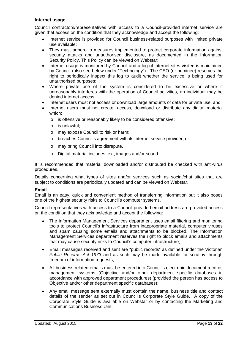#### **Internet usage**

Council contractors/representatives with access to a Council-provided internet service are given that access on the condition that they acknowledge and accept the following:

- Internet service is provided for Council business-related purposes with limited private use available;
- They must adhere to measures implemented to protect corporate information against security attacks and unauthorised disclosure, as documented in the Information Security Policy. This Policy can be viewed on Webstar;
- Internet usage is monitored by Council and a log of internet sites visited is maintained by Council (also see below under "Technology"). The CEO (or nominee) reserves the right to periodically inspect this log to audit whether the service is being used for unauthorised purposes;
- Where private use of the system is considered to be excessive or where it unreasonably interferes with the operation of Council activities, an individual may be denied internet access;
- Internet users must not access or download large amounts of data for private use; and
- Internet users must not create, access, download or distribute any digital material which:
	- o is offensive or reasonably likely to be considered offensive;
	- o is unlawful;
	- o may expose Council to risk or harm;
	- o breaches Council's agreement with its internet service provider; or
	- o may bring Council into disrepute.
	- o Digital material includes text, images and/or sound.

It is recommended that material downloaded and/or distributed be checked with anti-virus procedures.

Details concerning what types of sites and/or services such as social/chat sites that are subject to conditions are periodically updated and can be viewed on Webstar.

#### **Email**

Email is an easy, quick and convenient method of transferring information but it also poses one of the highest security risks to Council's computer systems.

Council representatives with access to a Council-provided email address are provided access on the condition that they acknowledge and accept the following:

- The Information Management Services department uses email filtering and monitoring tools to protect Council's infrastructure from inappropriate material, computer viruses and spam causing some emails and attachments to be blocked. The Information Management Services department reserves the right to block emails and attachments that may cause security risks to Council's computer infrastructure;
- Email messages received and sent are "public records" as defined under the Victorian *Public Records Act 1973* and as such may be made available for scrutiny through freedom of information requests;
- All business related emails must be entered into Council's electronic document records management systems (Objective and/or other department specific databases in accordance with approved department procedures) (provided the person has access to Objective and/or other department specific databases);
- Any email message sent externally must contain the name, business title and contact details of the sender as set out in Council's Corporate Style Guide. A copy of the Corporate Style Guide is available on Webstar or by contacting the Marketing and Communications Business Unit;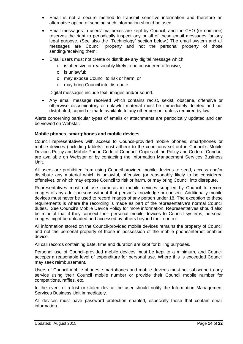- Email is not a secure method to transmit sensitive information and therefore an alternative option of sending such information should be used;
- Email messages in users' mailboxes are kept by Council, and the CEO (or nominee) reserves the right to periodically inspect any or all of these email messages for any legal purpose. (See also the "Technology" section below.) The email system and all messages are Council property and not the personal property of those sending/receiving them;
- Email users must not create or distribute any digital message which:
	- o is offensive or reasonably likely to be considered offensive;
	- o is unlawful;
	- o may expose Council to risk or harm; or
	- o may bring Council into disrepute.

Digital messages include text, images and/or sound.

 Any email message received which contains racist, sexist, obscene, offensive or otherwise discriminatory or unlawful material must be immediately deleted and not distributed, copied or made available to any other person, unless required by law.

Alerts concerning particular types of emails or attachments are periodically updated and can be viewed on Webstar.

#### **Mobile phones, smartphones and mobile devices**

Council representatives with access to Council-provided mobile phones, smartphones or mobile devices (including tablets) must adhere to the conditions set out in Council's Mobile Devices Policy and Mobile Phone Code of Conduct. Copies of the Policy and Code of Conduct are available on Webstar or by contacting the Information Management Services Business Unit.

All users are prohibited from using Council-provided mobile devices to send, access and/or distribute any material which is unlawful, offensive (or reasonably likely to be considered offensive), or which may expose Council to risk or harm, or may bring Council into disrepute.

Representatives must not use cameras in mobile devices supplied by Council to record images of any adult persons without that person's knowledge or consent. Additionally mobile devices must never be used to record images of any person under 18. The exception to these requirements is where the recording is made as part of the representative's normal Council duties. See Council's Mobile Device Policy for more information. Representatives should also be mindful that if they connect their personal mobile devices to Council systems, personal images might be uploaded and accessed by others beyond their control.

All information stored on the Council-provided mobile devices remains the property of Council and not the personal property of those in possession of the mobile phone/internet enabled device.

All call records containing date, time and duration are kept for billing purposes.

Personal use of Council-provided mobile devices must be kept to a minimum, and Council accepts a reasonable level of expenditure for personal use. Where this is exceeded Council may seek reimbursement.

Users of Council mobile phones, smartphones and mobile devices must not subscribe to any service using their Council mobile number or provide their Council mobile number for competitions, raffles, etc.

In the event of a lost or stolen device the user should notify the Information Management Services Business Unit immediately.

All devices must have password protection enabled, especially those that contain email information.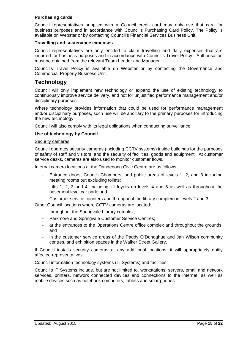#### **Purchasing cards**

Council representatives supplied with a Council credit card may only use that card for business purposes and in accordance with Council's Purchasing Card Policy. The Policy is available on Webstar or by contacting Council's Financial Services Business Unit.

#### **Travelling and sustenance expenses**

Council representatives are only entitled to claim travelling and daily expenses that are incurred for business purposes and in accordance with Council's Travel Policy. Authorisation must be obtained from the relevant Team Leader and Manager.

Council's Travel Policy is available on Webstar or by contacting the Governance and Commercial Property Business Unit.

## **Technology**

Council will only implement new technology or expand the use of existing technology to continuously improve service delivery, and not for unjustified performance management and/or disciplinary purposes.

Where technology provides information that could be used for performance management and/or disciplinary purposes, such use will be ancillary to the primary purposes for introducing the new technology.

Council will also comply with its legal obligations when conducting surveillance.

#### **Use of technology by Council**

#### Security cameras

Council operates security cameras (including CCTV systems) inside buildings for the purposes of safety of staff and visitors, and the security of facilities, goods and equipment. At customer service desks, cameras are also used to monitor customer flows.

Internal camera locations at the Dandenong Civic Centre are as follows:

- Entrance doors, Council Chambers, and public areas of levels 1, 2, and 3 including meeting rooms but excluding toilets;
- Lifts 1, 2, 3 and 4, including lift foyers on levels 4 and 5 as well as throughout the basement level car park; and
- Customer service counters and throughout the library complex on levels 2 and 3.

Other Council locations where CCTV cameras are located:

- throughout the Springvale Library complex;
- Parkmore and Springvale Customer Service Centres;
- at the entrances to the Operations Centre office complex and throughout the grounds; and
- in the customer service areas of the Paddy O'Donoghue and Jan Wilson community centres, and exhibition spaces in the Walker Street Gallery.

If Council installs security cameras at any additional locations, it will appropriately notify affected representatives.

#### Council information technology systems (IT Systems) and facilities

Council's IT Systems include, but are not limited to, workstations, servers, email and network services, printers, network connected devices and connections to the internet, as well as mobile devices such as notebook computers, tablets and smartphones.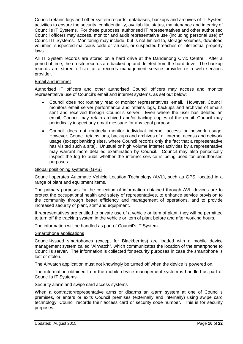Council retains logs and other system records, databases, backups and archives of IT System activities to ensure the security, confidentiality, availability, status, maintenance and integrity of Council's IT Systems. For these purposes, authorised IT representatives and other authorised Council officers may access, monitor and audit representative use (including personal use) of Council IT Systems. Monitoring may include, but is not limited to, storage volumes, download volumes, suspected malicious code or viruses, or suspected breaches of intellectual property laws.

All IT System records are stored on a hard drive at the Dandenong Civic Centre. After a period of time, the on-site records are backed up and deleted from the hard drive. The backup records are stored off-site at a records management service provider or a web services provider.

#### Email and internet

Authorised IT officers and other authorised Council officers may access and monitor representative use of Council's email and internet systems, as set out below:

- Council does not routinely read or monitor representatives' email. However, Council monitors email server performance and retains logs, backups and archives of emails sent and received through Council's server. Even where the user has deleted an email, Council may retain archived and/or backup copies of the email. Council may periodically inspect any email message for any legal purpose.
- Council does not routinely monitor individual internet access or network usage. However, Council retains logs, backups and archives of all internet access and network usage (except banking sites, where Council records only the fact that a representative has visited such a site). Unusual or high volume internet activities by a representative may warrant more detailed examination by Council. Council may also periodically inspect the log to audit whether the internet service is being used for unauthorised purposes.

#### Global positioning systems (GPS)

Council operates Automatic Vehicle Location Technology (AVL), such as GPS, located in a range of plant and equipment items.

The primary purposes for the collection of information obtained through AVL devices are to protect the occupational health and safety of representatives, to enhance service provision to the community through better efficiency and management of operations, and to provide increased security of plant, staff and equipment.

If representatives are entitled to private use of a vehicle or item of plant, they will be permitted to turn off the tracking system in the vehicle or item of plant before and after working hours.

The information will be handled as part of Council's IT System.

#### Smartphone applications

Council-issued smartphones (except for Blackberries) are loaded with a mobile device management system called "Airwatch", which communicates the location of the smartphone to Council's server. The information is collected for security purposes in case the smartphone is lost or stolen.

The Airwatch application must not knowingly be turned off when the device is powered on.

The information obtained from the mobile device management system is handled as part of Council's IT Systems.

#### Security alarm and swipe card access systems

When a contractor/representative arms or disarms an alarm system at one of Council's premises, or enters or exits Council premises (externally and internally) using swipe card technology, Council records their access card or security code number. This is for security purposes.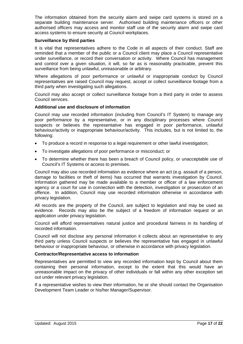The information obtained from the security alarm and swipe card systems is stored on a separate building maintenance server. Authorised building maintenance officers or other authorised officers may access and monitor staff use of the security alarm and swipe card access systems to ensure security at Council workplaces.

#### **Surveillance by third parties**

It is vital that representatives adhere to the Code in all aspects of their conduct. Staff are reminded that a member of the public or a Council client may place a Council representative under surveillance, or record their conversation or activity. Where Council has management and control over a given situation, it will, so far as is reasonably practicable, prevent this surveillance from being unlawful, unreasonable or arbitrary.

Where allegations of poor performance or unlawful or inappropriate conduct by Council representatives are raised Council may request, accept or collect surveillance footage from a third party when investigating such allegations.

Council may also accept or collect surveillance footage from a third party in order to assess Council services.

#### **Additional use and disclosure of information**

Council may use recorded information (including from Council's IT System) to manage any poor performance by a representative, or in any disciplinary processes where Council suspects or believes the representative has engaged in poor performance, unlawful behaviour/activity or inappropriate behaviour/activity. This includes, but is not limited to, the following:

- To produce a record in response to a legal requirement or other lawful investigation;
- To investigate allegations of poor performance or misconduct; or
- To determine whether there has been a breach of Council policy, or unacceptable use of Council's IT Systems or access to premises.

Council may also use recorded information as evidence where an act (e.g. assault of a person, damage to facilities or theft of items) has occurred that warrants investigation by Council. Information gathered may be made available to a member or officer of a law enforcement agency or a court for use in connection with the detection, investigation or prosecution of an offence. In addition, Council may use recorded information otherwise in accordance with privacy legislation.

All records are the property of the Council, are subject to legislation and may be used as evidence. Records may also be the subject of a freedom of information request or an application under privacy legislation.

Council will afford representatives natural justice and procedural fairness in its handling of recorded information.

Council will not disclose any personal information it collects about an representative to any third party unless Council suspects or believes the representative has engaged in unlawful behaviour or inappropriate behaviour, or otherwise in accordance with privacy legislation.

#### **Contractor/Representative access to information**

Representatives are permitted to view any recorded information kept by Council about them containing their personal information, except to the extent that this would have an unreasonable impact on the privacy of other individuals or fall within any other exception set out under relevant privacy legislation.

If a representative wishes to view their information, he or she should contact the Organisation Development Team Leader or his/her Manager/Supervisor.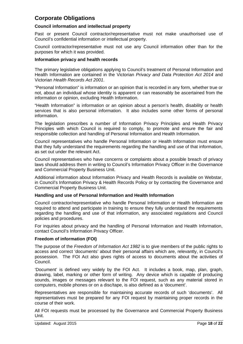## **Corporate Obligations**

#### **Council information and intellectual property**

Past or present Council contractor/representative must not make unauthorised use of Council's confidential information or intellectual property.

Council contractor/representative must not use any Council information other than for the purposes for which it was provided.

#### **Information privacy and health records**

The primary legislative obligations applying to Council's treatment of Personal Information and Health Information are contained in the Victorian *Privacy and Data Protection Act 2014* and Victorian *Health Records Act 2001*.

"Personal Information" is information or an opinion that is recorded in any form, whether true or not, about an individual whose identity is apparent or can reasonably be ascertained from the information or opinion, excluding Health Information.

"Health Information" is information or an opinion about a person's health, disability or health services that is also personal information. It also includes some other forms of personal information.

The legislation prescribes a number of Information Privacy Principles and Health Privacy Principles with which Council is required to comply, to promote and ensure the fair and responsible collection and handling of Personal Information and Health Information.

Council representatives who handle Personal Information or Health Information must ensure that they fully understand the requirements regarding the handling and use of that information, as set out under the relevant Act.

Council representatives who have concerns or complaints about a possible breach of privacy laws should address them in writing to Council's Information Privacy Officer in the Governance and Commercial Property Business Unit.

Additional information about Information Privacy and Health Records is available on Webstar, in Council's Information Privacy & Health Records Policy or by contacting the Governance and Commercial Property Business Unit.

#### **Handling and use of Personal Information and Health Information**

Council contractor/representative who handle Personal Information or Health Information are required to attend and participate in training to ensure they fully understand the requirements regarding the handling and use of that information, any associated regulations and Council policies and procedures.

For inquiries about privacy and the handling of Personal Information and Health Information, contact Council's Information Privacy Officer.

#### **Freedom of information (FOI)**

The purpose of the *Freedom of Information Act 1982* is to give members of the public rights to access and correct 'documents' about their personal affairs which are, relevantly, in Council's possession. The FOI Act also gives rights of access to documents about the activities of Council.

'Document' is defined very widely by the FOI Act. It includes a book, map, plan, graph, drawing, label, marking or other form of writing. Any device which is capable of producing sounds, images or messages relevant to the FOI request, such as any material stored in computers, mobile phones or on a disc/tape, is also defined as a 'document'.

Representatives are responsible for maintaining accurate records of such 'documents'. All representatives must be prepared for any FOI request by maintaining proper records in the course of their work.

All FOI requests must be processed by the Governance and Commercial Property Business Unit.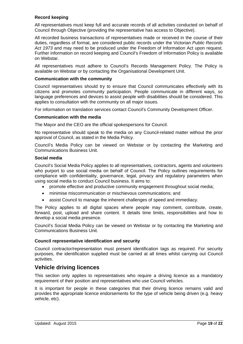#### **Record keeping**

All representatives must keep full and accurate records of all activities conducted on behalf of Council through Objective (providing the representative has access to Objective).

All recorded business transactions of representatives made or received in the course of their duties, regardless of format, are considered public records under the Victorian *Public Records Act 1973* and may need to be produced under the Freedom of Information Act upon request. Further information on record keeping and Council's Freedom of Information Policy is available on Webstar.

All representatives must adhere to Council's Records Management Policy. The Policy is available on Webstar or by contacting the Organisational Development Unit.

#### **Communication with the community**

Council representatives should try to ensure that Council communicates effectively with its citizens and promotes community participation. People communicate in different ways, so language preferences and devices to assist people with disabilities should be considered. This applies to consultation with the community on all major issues.

For information on translation services contact Council's Community Development Officer.

#### **Communication with the media**

The Mayor and the CEO are the official spokespersons for Council.

No representative should speak to the media on any Council-related matter without the prior approval of Council, as stated in the Media Policy.

Council's Media Policy can be viewed on Webstar or by contacting the Marketing and Communications Business Unit.

#### **Social media**

Council's Social Media Policy applies to all representatives, contractors, agents and volunteers who purport to use social media on behalf of Council. The Policy outlines requirements for compliance with confidentiality, governance, legal, privacy and regulatory parameters when using social media to conduct Council business. It aims to:

- promote effective and productive community engagement throughout social media;
- minimise miscommunication or mischievous communications; and
- assist Council to manage the inherent challenges of speed and immediacy.

The Policy applies to all digital spaces where people may comment, contribute, create, forward, post, upload and share content. It details time limits, responsibilities and how to develop a social media presence.

Council's Social Media Policy can be viewed on Webstar or by contacting the Marketing and Communications Business Unit.

#### **Council representative identification and security**

Council contractor/representation must present identification tags as required. For security purposes, the identification supplied must be carried at all times whilst carrying out Council activities.

### **Vehicle driving licences**

This section only applies to representatives who require a driving licence as a mandatory requirement of their position and representatives who use Council vehicles.

It is important for people in these categories that their driving licence remains valid and provides the appropriate licence endorsements for the type of vehicle being driven (e.g. heavy vehicle, etc).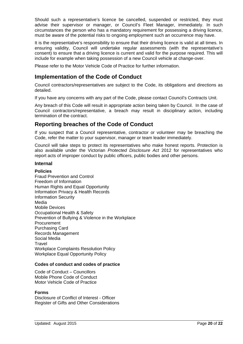Should such a representative's licence be cancelled, suspended or restricted, they must advise their supervisor or manager, or Council's Fleet Manager, immediately. In such circumstances the person who has a mandatory requirement for possessing a driving licence, must be aware of the potential risks to ongoing employment such an occurrence may have.

It is the representative's responsibility to ensure that their driving licence is valid at all times. In ensuring validity, Council will undertake regular assessments (with the representative's consent) to ensure that a driving licence is current and valid for the purpose required. This will include for example when taking possession of a new Council vehicle at change-over.

Please refer to the Motor Vehicle Code of Practice for further information.

## **Implementation of the Code of Conduct**

Council contractors/representatives are subject to the Code, its obligations and directions as detailed.

If you have any concerns with any part of the Code, please contact Council's Contracts Unit.

Any breach of this Code will result in appropriate action being taken by Council. In the case of Council contractors/representative, a breach may result in disciplinary action, including termination of the contract.

## **Reporting breaches of the Code of Conduct**

If you suspect that a Council representative, contractor or volunteer may be breaching the Code, refer the matter to your supervisor, manager or team leader immediately.

Council will take steps to protect its representatives who make honest reports. Protection is also available under the Victorian *Protected Disclosure Act* 2012 for representatives who report acts of improper conduct by public officers, public bodies and other persons.

#### **Internal**

#### **Policies**

Fraud Prevention and Control Freedom of Information Human Rights and Equal Opportunity Information Privacy & Health Records Information Security Media Mobile Devices Occupational Health & Safety Prevention of Bullying & Violence in the Workplace Procurement Purchasing Card Records Management Social Media Travel Workplace Complaints Resolution Policy Workplace Equal Opportunity Policy

#### **Codes of conduct and codes of practice**

Code of Conduct – Councillors Mobile Phone Code of Conduct Motor Vehicle Code of Practice

#### **Forms**

Disclosure of Conflict of Interest - Officer Register of Gifts and Other Considerations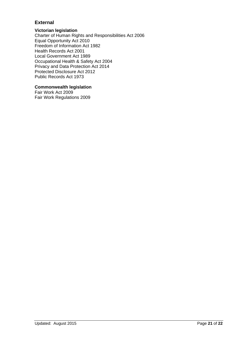#### **External**

#### **Victorian legislation**

Charter of Human Rights and Responsibilities Act 2006 Equal Opportunity Act 2010 Freedom of Information Act 1982 Health Records Act 2001 Local Government Act 1989 Occupational Health & Safety Act 2004 Privacy and Data Protection Act 2014 Protected Disclosure Act 2012 Public Records Act 1973

#### **Commonwealth legislation**

Fair Work Act 2009 Fair Work Regulations 2009